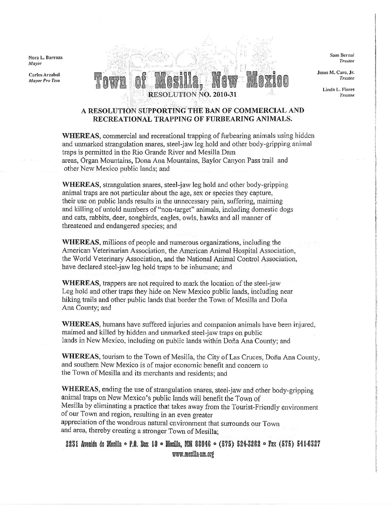Nora L. Barraza Mayor

Carlos Arzabal Mayor Pro Tem



Srm Beroal Trustee

Jesus M. Caro, Jr. Truslec

> Linda L. Flores Trustee

## A RESOLUTION SUPPORTING THE BAN OF COMMERCIAL AND RECREATIONAL TRAPPING OF FURBEARING ANIMALS.

WHEREAS, commercial and recreational trapping of furbearing animals usirg hidden and unmarked strangulation snares, steel-jaw leg hold and other body-gripping animal traps is permitted in the Rio Grande River and Mesilla Dam areas, Organ Mountains, Dona Ana Mountains, Baylor Canyon Pass trail and other New Mexico public lands; and

WHEREAS, strangulation snares, steel-jaw leg hold and other body-gripping animal traps are not particular about thc age, sex or species they capture, their use on public lands results in the unnecessary pain, suffering, maiming and killing of untold numbers of "non-target" animals, including domestic dogs and cats, rabbits, deer, songbirds, eagles, owis, hawks and all rnanner of threatened and endangered species; and

WHEREAS, millions of people and numerous organizations, including the Arnerican Veterinarian Association, the American Arimal Hospital Association, the World Veterinary Association, and the National Anirnal Control Association, have declared steel-jaw leg hold traps to be inhumane; and

WHEREAS, trappers are not required to mark the location of the steel-jaw Leg hold and other traps they hide on New Mexico public lands, including near hiking trails and other public lands that border the Town of Mesilla and Doña Ana County; and

WHEREAS, humans have suffered injuries and companion animals have been injured. maimed and killed by hidden and unnarked steel-jaw traps on public lands in New Mexico, including on public lands within Doña Ana County; and

WHEREAS, tourism to the Town of Mesilla, the City of Las Cruces, Doña Ana County, and southem New Mexico is of major economic benefit and concern to the Town of Mesilla and its merchants and residents; and

WHEREAS, ending the use of strangulation snares, steel-jaw and other body-gripping animal traps on New Mexico's public lands will benefit the Town of Mesilla by eliminating a practice that takes away from the Tourist-Friendly environment of our Town and region, resulting in an even greater appreciation of the wondrous natural environment that surrounds our Town and area, thereby creating a stronger Town of Mesilla;

2231 Avenida de Mesilla ~ P.O. Box 10 ~ Mesilla, NM 88046 ~ (575) 524-3262 ~ Fax (575) 541-6327 www.mesilla-nm.org